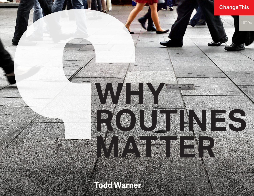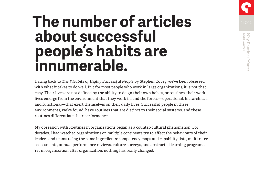

# **The number of articles about successful people's habits are innumerable.**

Dating back to *The 7 Habits of Highly Successful People* by Stephen Covey, we've been obsessed with what it takes to do well. But for most people who work in large organizations, it is not that easy. Their lives are not defined by the ability to deign their own habits, or routines; their work lives emerge from the environment that they work in, and the forces—operational, hierarchical, and functional—that exert themselves on their daily lives. Successful people in these environments, we've found, have routines that are distinct to their social systems, and these routines differentiate their performance.

My obsession with Routines in organizations began as a counter-cultural phenomenon. For decades, I had watched organizations on multiple continents try to affect the behaviours of their leaders and teams using the same ingredients: competency maps and capability lists, multi-rater assessments, annual performance reviews, culture surveys, and abstracted learning programs. Yet in organization after organization, nothing has really changed.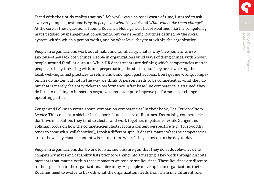Faced with the untidy reality that my life's work was a colossal waste of time, I started to ask two very simple questions: *Why do people do what they do?* and *What will make them change?*  At the core of these questions, I found Routines. Not a generic list of Routines, like the competency maps peddled by management consultants, but very specific Routines defined by the social system within which a person works, and by what level they're at within the organization.

People in organizations work out of habit and familiarity. That is why "new joiners" are so anxious—they lack both things. People in organizations build ways of doing things, with known people, around familiar outputs. While HR departments are defining which competencies matter, people are busy tinkering with, and perpetuating, the status quo. They are reworking their local, well-ingrained practices to refine and build upon past success. Don't get me wrong, competencies do matter, but not in the way we think. A person needs to be competent at what they do, but that is merely the entry ticket to performance. After base-line competence is attained, they do little to nothing to impact an organizations' attempt to improve performance or change operating patterns.

Zenger and Folkman wrote about "companion competencies" in their book, *The Extraordinary Leader*. This concept, a sidebar in the book, is at the core of Routines. Essentially, competencies don't live in isolation, they tend to cluster and work together, in patterns. While Zenger and Folkman focus on how the competencies cluster from a content perspective (e.g. "trustworthy" tends to come with "collaborative"), I took a different spin. It doesn't matter what the competencies are, or how they cluster, content-wise; it matters "where" they show up in the day-to-day.

People in organizations don't work to lists, and I assure you that they don't double-check the competency maps and capability lists prior to walking into a meeting. They work through discrete moments that matter; within these moments we tend to see Routines. These Routines are discrete to their position in the organizational hierarchy. As people move up in an organization, their Routines need to evolve to fit with what the organization needs from them in a different role.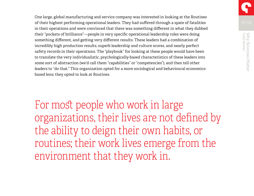One large, global manufacturing and service company was interested in looking at the Routines of their highest performing operational leaders. They had suffered through a spate of fatalities in their operations and were convinced that there was something different in what they dubbed their "pockets of brilliance"—people in very specific operational leadership roles were doing something different, and getting very different results. These leaders had a combination of incredibly high production results, superb leadership and culture scores, and nearly perfect safety records in their operations. The "playbook" for looking at these people would have been to translate the very individualistic, psychologically-based characteristics of these leaders into some sort of abstraction (we'd call them "capabilities" or "competencies"), and then tell other leaders to "do that." This organization opted for a more sociological and behavioural economicsbased lens; they opted to look at Routines.

For most people who work in large organizations, their lives are not defined by the ability to deign their own habits, or routines; their work lives emerge from the environment that they work in.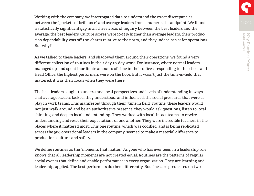Working with the company, we interrogated data to understand the exact discrepancies between the "pockets of brilliance" and average leaders from a numerical standpoint. We found a statistically significant gap in all three areas of inquiry between the best leaders and the average; the best leaders' Culture scores were 10-15% higher than average leaders, their production dependability was off-the-charts relative to the norm, and they indeed ran safer operations. But why?

As we talked to these leaders, and shadowed them around their operations, we found a very different collection of routines in their day-to-day work. For instance, where normal leaders managed up, and spent inordinate amounts of time in their offices, responding to their boss and Head Office, the highest performers were on the floor. But it wasn't just the time-in-field that mattered, it was their focus when they were there.

The best leaders sought to understand local perspectives and levels of understanding in ways that average leaders lacked; they understood, and influenced, the social pressures that were at play in work teams. This manifested through their "time in field" routine; these leaders would not just walk around and be an authoritative presence, they would ask questions, listen to local thinking, and deepen local understanding. They worked with local, intact teams, to rewire understanding and reset their expectations of one another. They were incredible teachers in the places where it mattered most. This one routine, which was codified, and is being replicated across the 500 operational leaders in the company, seemed to make a material difference to production, culture, and safety.

We define routines as the "moments that matter." Anyone who has ever been in a leadership role knows that all leadership moments are not created equal. Routines are the patterns of regular social events that define and enable performance in every organization. They are learning and leadership, applied. The best performers do them differently. Routines are predicated on two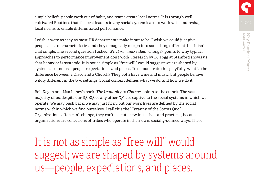simple beliefs: people work out of habit, and teams create local norms. It is through wellcultivated Routines that the best leaders in any social system learn to work with and reshape local norms to enable differentiated performance.

I wish it were as easy as most HR departments make it out to be; I wish we could just give people a list of characteristics and they'd magically morph into something different, but it isn't that simple. The second question I asked, *What will make them change?*, points to why typical approaches to performance improvement don't work. Research by BJ Fogg at Stanford shows us that behavior is systemic. It is not as simple as "free will" would suggest; we are shaped by systems around us—people, expectations, and places. To demonstrate this playfully, what is the difference between a Disco and a Church? They both have wine and music, but people behave wildly different in the two settings. Social context defines what we do, and how we do it.

Bob Kegan and Lisa Lahey's book, *The Immunity to Change*, points to the culprit. The vast majority of us, despite our IQ, EQ, or any other "Q," are captive to the social systems in which we operate. We may push back, we may just fit in, but our work lives are defined by the social norms within which we find ourselves. I call this the "Tyranny of the Status Quo." Organizations often can't change, they can't execute new initiatives and practices, because organizations are collections of tribes who operate in their own, socially-defined ways. These

It is not as simple as "free will" would suggest; we are shaped by systems around us—people, expectations, and places.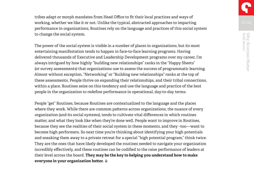tribes adapt or morph mandates from Head Office to fit their local practices and ways of working, whether we like it or not. Unlike the typical, abstracted approaches to impacting [performance in organizations, Routines rely on the language and practices of this social system](http://changethis.com/167.04.WhyRoutinesMatter)  to change the social system.

The power of the social system is visible in a number of places in organizations, but its most entertaining manifestation tends to happen in face-to-face learning programs. Having delivered thousands of Executive and Leadership Development programs over my career, I'm always intrigued by how highly "building new relationships" ranks in the "Happy Sheets" (or survey assessments) that organizations use to assess the success of programmatic learning. Almost without exception, "Networking" or "Building new relationships" ranks at the top of these assessments. People thrive on expanding their relationships, and their tribal connections, within a place. Routines seize on this tendency and use the language and practice of the best people in the organization to redefine performance in operational, day-to-day terms.

People "get" Routines, because Routines are contextualized to the language and the places where they work. While there are common patterns across organizations, the nuance of every organization (and its social systems), tends to cultivate vital differences in which routines matter, and what they look like when they're done well. People want to improve in Routines, because they see the realities of their social system in these moments, and they –too—want to become high performers. So next time you're thinking about identifying your high potentials and sneaking them away to a private retreat for a special "high potential program," think twice. They are the ones that have likely developed the routines needed to navigate your organization incredibly effectively, and these routines can be codified to the raise performance of leaders at their level across the board. **They may be the key to helping you understand how to make everyone in your organization better.**